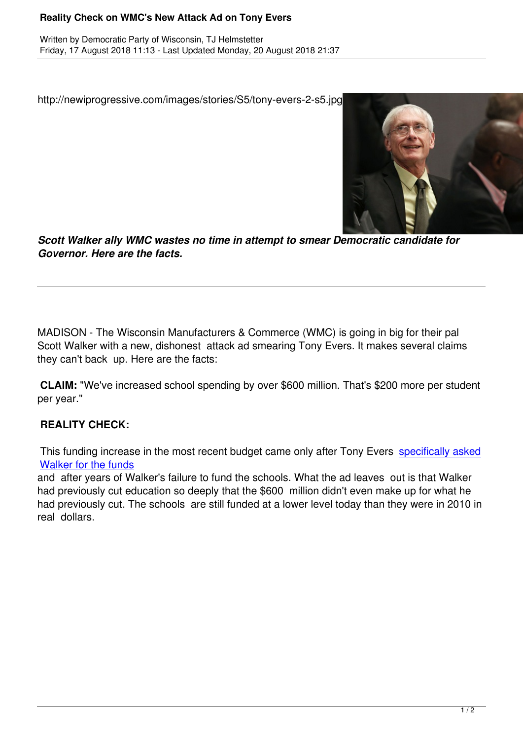http://newiprogressive.com/images/stories/S5/tony-evers-2-s5.jpg



*Scott Walker ally WMC wastes no time in attempt to smear Democratic candidate for Governor. Here are the facts.*

MADISON - The Wisconsin Manufacturers & Commerce (WMC) is going in big for their pal Scott Walker with a new, dishonest attack ad smearing Tony Evers. It makes several claims they can't back up. Here are the facts:

**CLAIM:** "We've increased school spending by over \$600 million. That's \$200 more per student per year."

## **REALITY CHECK:**

This funding increase in the most recent budget came only after Tony Evers specifically asked Walker for the funds

and after years of Walker's failure to fund the schools. What the ad leaves out is that Walker had previously cut education so deeply that the \$600 million didn't even mak[e up for what he](https://wisdems.us1.list-manage.com/track/click?u=5fdce0a26f89c28febc13998d&id=20c177aea9&e=c8d9c6b5a0) [had previously cut. T](https://wisdems.us1.list-manage.com/track/click?u=5fdce0a26f89c28febc13998d&id=20c177aea9&e=c8d9c6b5a0)he schools are still funded at a lower level today than they were in 2010 in real dollars.